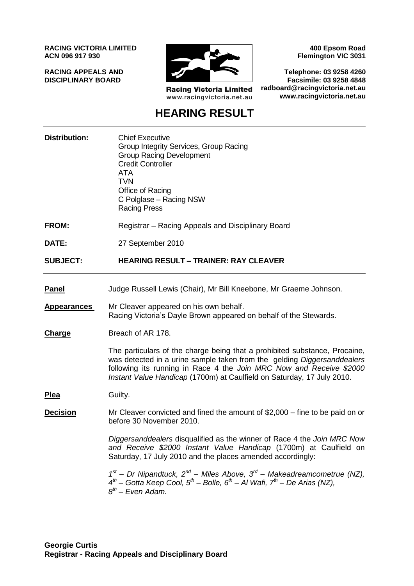**RACING VICTORIA LIMITED ACN 096 917 930**

**RACING APPEALS AND DISCIPLINARY BOARD**



**Racing Victoria Limited** www.racingvictoria.net.au

**400 Epsom Road Flemington VIC 3031**

**Telephone: 03 9258 4260 Facsimile: 03 9258 4848 radboard@racingvictoria.net.au www.racingvictoria.net.au**

## **HEARING RESULT**

| <b>Distribution:</b> | <b>Chief Executive</b><br>Group Integrity Services, Group Racing<br><b>Group Racing Development</b><br><b>Credit Controller</b><br><b>ATA</b><br><b>TVN</b><br>Office of Racing<br>C Polglase - Racing NSW<br><b>Racing Press</b>                                                                      |
|----------------------|--------------------------------------------------------------------------------------------------------------------------------------------------------------------------------------------------------------------------------------------------------------------------------------------------------|
| <b>FROM:</b>         | Registrar - Racing Appeals and Disciplinary Board                                                                                                                                                                                                                                                      |
| DATE:                | 27 September 2010                                                                                                                                                                                                                                                                                      |
| <b>SUBJECT:</b>      | <b>HEARING RESULT - TRAINER: RAY CLEAVER</b>                                                                                                                                                                                                                                                           |
| <b>Panel</b>         | Judge Russell Lewis (Chair), Mr Bill Kneebone, Mr Graeme Johnson.                                                                                                                                                                                                                                      |
| <b>Appearances</b>   | Mr Cleaver appeared on his own behalf.<br>Racing Victoria's Dayle Brown appeared on behalf of the Stewards.                                                                                                                                                                                            |
| <b>Charge</b>        | Breach of AR 178.                                                                                                                                                                                                                                                                                      |
|                      | The particulars of the charge being that a prohibited substance, Procaine,<br>was detected in a urine sample taken from the gelding Diggersanddealers<br>following its running in Race 4 the Join MRC Now and Receive \$2000<br>Instant Value Handicap (1700m) at Caulfield on Saturday, 17 July 2010. |
| <u>Plea</u>          | Guilty.                                                                                                                                                                                                                                                                                                |
| <b>Decision</b>      | Mr Cleaver convicted and fined the amount of $$2,000 -$ fine to be paid on or<br>before 30 November 2010.                                                                                                                                                                                              |
|                      | Diggersanddealers disqualified as the winner of Race 4 the Join MRC Now<br>and Receive \$2000 Instant Value Handicap (1700m) at Caulfield on<br>Saturday, 17 July 2010 and the places amended accordingly:                                                                                             |
|                      | $1^{st}$ – Dr Nipandtuck, $2^{nd}$ – Miles Above, $3^{rd}$ – Makeadreamcometrue (NZ),<br>$4^{th}$ – Gotta Keep Cool, $5^{th}$ – Bolle, $6^{th}$ – Al Wafi, $7^{th}$ – De Arias (NZ),<br>$8^{th}$ – Even Adam.                                                                                          |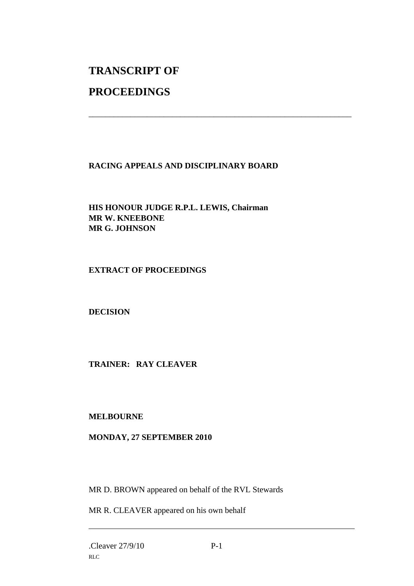# **TRANSCRIPT OF**

### **PROCEEDINGS**

#### **RACING APPEALS AND DISCIPLINARY BOARD**

\_\_\_\_\_\_\_\_\_\_\_\_\_\_\_\_\_\_\_\_\_\_\_\_\_\_\_\_\_\_\_\_\_\_\_\_\_\_\_\_\_\_\_\_\_\_\_\_\_\_\_\_\_\_\_\_\_\_\_\_\_\_\_

**HIS HONOUR JUDGE R.P.L. LEWIS, Chairman MR W. KNEEBONE MR G. JOHNSON**

#### **EXTRACT OF PROCEEDINGS**

**DECISION**

#### **TRAINER: RAY CLEAVER**

#### **MELBOURNE**

#### **MONDAY, 27 SEPTEMBER 2010**

MR D. BROWN appeared on behalf of the RVL Stewards

MR R. CLEAVER appeared on his own behalf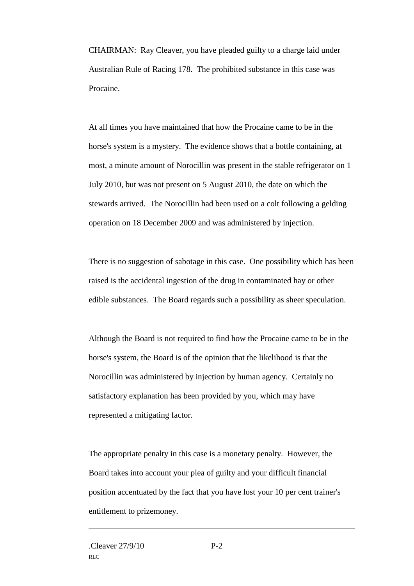CHAIRMAN: Ray Cleaver, you have pleaded guilty to a charge laid under Australian Rule of Racing 178. The prohibited substance in this case was Procaine.

At all times you have maintained that how the Procaine came to be in the horse's system is a mystery. The evidence shows that a bottle containing, at most, a minute amount of Norocillin was present in the stable refrigerator on 1 July 2010, but was not present on 5 August 2010, the date on which the stewards arrived. The Norocillin had been used on a colt following a gelding operation on 18 December 2009 and was administered by injection.

There is no suggestion of sabotage in this case. One possibility which has been raised is the accidental ingestion of the drug in contaminated hay or other edible substances. The Board regards such a possibility as sheer speculation.

Although the Board is not required to find how the Procaine came to be in the horse's system, the Board is of the opinion that the likelihood is that the Norocillin was administered by injection by human agency. Certainly no satisfactory explanation has been provided by you, which may have represented a mitigating factor.

The appropriate penalty in this case is a monetary penalty. However, the Board takes into account your plea of guilty and your difficult financial position accentuated by the fact that you have lost your 10 per cent trainer's entitlement to prizemoney.